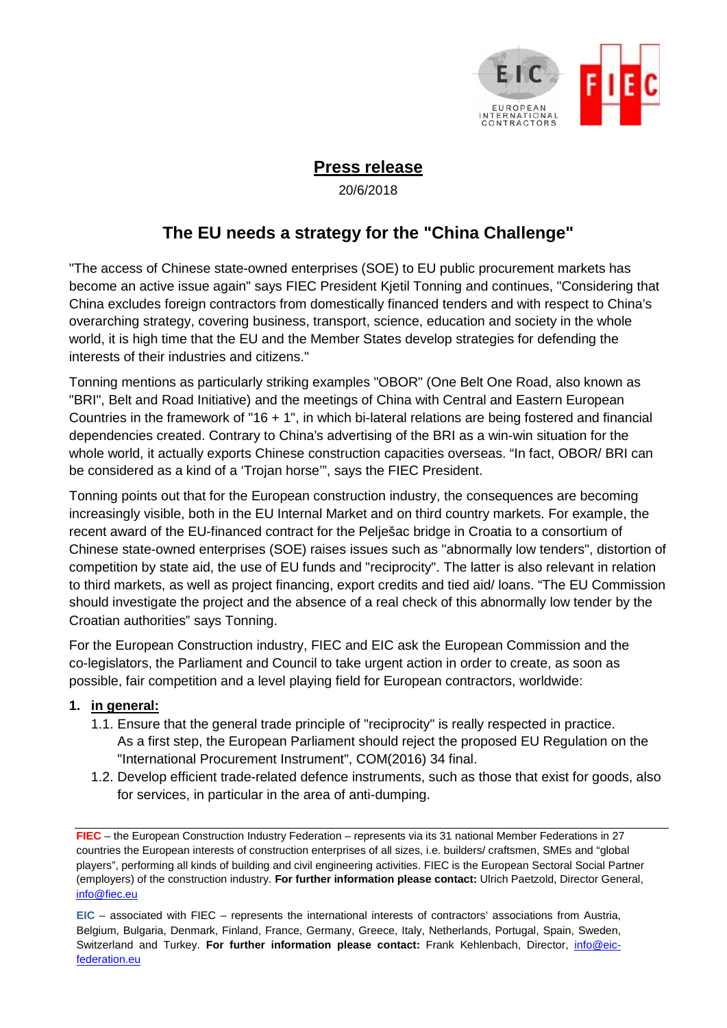

## **Press release**

20/6/2018

# **The EU needs a strategy for the "China Challenge"**

"The access of Chinese state-owned enterprises (SOE) to EU public procurement markets has become an active issue again" says FIEC President Kjetil Tonning and continues, "Considering that China excludes foreign contractors from domestically financed tenders and with respect to China's overarching strategy, covering business, transport, science, education and society in the whole world, it is high time that the EU and the Member States develop strategies for defending the interests of their industries and citizens."

Tonning mentions as particularly striking examples "OBOR" (One Belt One Road, also known as "BRI", Belt and Road Initiative) and the meetings of China with Central and Eastern European Countries in the framework of "16 + 1", in which bi-lateral relations are being fostered and financial dependencies created. Contrary to China's advertising of the BRI as a win-win situation for the whole world, it actually exports Chinese construction capacities overseas. "In fact, OBOR/ BRI can be considered as a kind of a 'Trojan horse'", says the FIEC President.

Tonning points out that for the European construction industry, the consequences are becoming increasingly visible, both in the EU Internal Market and on third country markets. For example, the recent award of the EU-financed contract for the Pelješac bridge in Croatia to a consortium of Chinese state-owned enterprises (SOE) raises issues such as "abnormally low tenders", distortion of competition by state aid, the use of EU funds and "reciprocity". The latter is also relevant in relation to third markets, as well as project financing, export credits and tied aid/ loans. "The EU Commission should investigate the project and the absence of a real check of this abnormally low tender by the Croatian authorities" says Tonning.

For the European Construction industry, FIEC and EIC ask the European Commission and the co-legislators, the Parliament and Council to take urgent action in order to create, as soon as possible, fair competition and a level playing field for European contractors, worldwide:

### **1. in general:**

- 1.1. Ensure that the general trade principle of "reciprocity" is really respected in practice. As a first step, the European Parliament should reject the proposed EU Regulation on the "International Procurement Instrument", COM(2016) 34 final.
- 1.2. Develop efficient trade-related defence instruments, such as those that exist for goods, also for services, in particular in the area of anti-dumping.

**FIEC** – the European Construction Industry Federation – represents via its 31 national Member Federations in 27 countries the European interests of construction enterprises of all sizes, i.e. builders/ craftsmen, SMEs and "global players", performing all kinds of building and civil engineering activities. FIEC is the European Sectoral Social Partner (employers) of the construction industry. **For further information please contact:** Ulrich Paetzold, Director General, info@fiec.eu

**EIC** – associated with FIEC – represents the international interests of contractors' associations from Austria, Belgium, Bulgaria, Denmark, Finland, France, Germany, Greece, Italy, Netherlands, Portugal, Spain, Sweden, Switzerland and Turkey. **For further information please contact:** Frank Kehlenbach, Director, info@eicfederation.eu